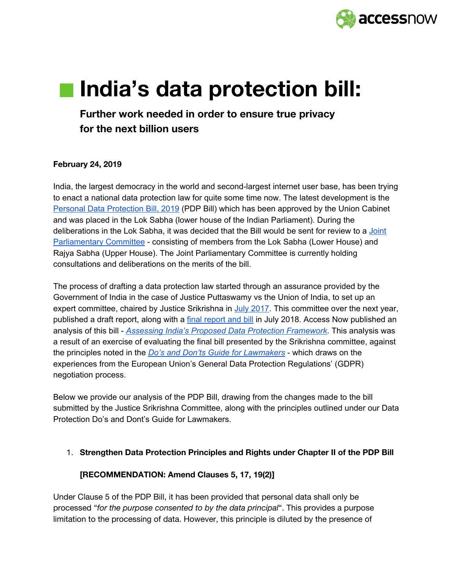

# **India's data protection bill:**

**Further work needed in order to ensure true privacy for the next billion users**

### **February 24, 2019**

India, the largest democracy in the world and second-largest internet user base, has been trying to enact a national data protection law for quite some time now. The latest development is the Personal Data [Protection](http://164.100.47.4/BillsTexts/LSBillTexts/Asintroduced/373_2019_LS_Eng.pdf) Bill, 2019 (PDP Bill) which has been approved by the Union Cabinet and was placed in the Lok Sabha (lower house of the Indian Parliament). During the deliberations in the Lok Sabha, it was decided that the Bill would be sent for review to a [Joint](https://www.businesstoday.in/current/economy-politics/personal-data-protection-bill-expect-more-tweaks-post-parliament-panel-consultations/story/392160.html) [Parliamentary](https://www.businesstoday.in/current/economy-politics/personal-data-protection-bill-expect-more-tweaks-post-parliament-panel-consultations/story/392160.html) Committee - consisting of members from the Lok Sabha (Lower House) and Rajya Sabha (Upper House). The Joint Parliamentary Committee is currently holding consultations and deliberations on the merits of the bill.

The process of drafting a data protection law started through an assurance provided by the Government of India in the case of Justice Puttaswamy vs the Union of India, to set up an expert committee, chaired by Justice Srikrishna in July [2017](https://indianexpress.com/article/technology/tech-news-technology/personal-data-protection-bill-2018-justice-srikrishna-data-protection-report-submitted-to-meity-5279972/). This committee over the next year, published a draft [report](http://prsindia.org/billtrack/draft-personal-data-protection-bill-2018), along with a **final report and bill** in July 2018. Access Now published an analysis of this bill - *Assessing India's Proposed Data Protection [Framework](https://www.accessnow.org/cms/assets/uploads/2018/09/Assessing-India%E2%80%99s-proposed-data-protection-framework-final.pdf)*. This analysis was a result of an exercise of evaluating the final bill presented by the Srikrishna committee, against the principles noted in the *Do's and Don'ts Guide for [Lawmakers](https://www.accessnow.org/cms/assets/uploads/2019/11/Data-Protection-Guide-for-Lawmakers-Access-Now.pdf)* - which draws on the experiences from the European Union's General Data Protection Regulations' (GDPR) negotiation process.

Below we provide our analysis of the PDP Bill, drawing from the changes made to the bill submitted by the Justice Srikrishna Committee, along with the principles outlined under our Data Protection Do's and Dont's Guide for Lawmakers.

#### 1. **Strengthen Data Protection Principles and Rights under Chapter II of the PDP Bill**

#### **[RECOMMENDATION: Amend Clauses 5, 17, 19(2)]**

Under Clause 5 of the PDP Bill, it has been provided that personal data shall only be processed "*for the purpose consented to by the data principal*". This provides a purpose limitation to the processing of data. However, this principle is diluted by the presence of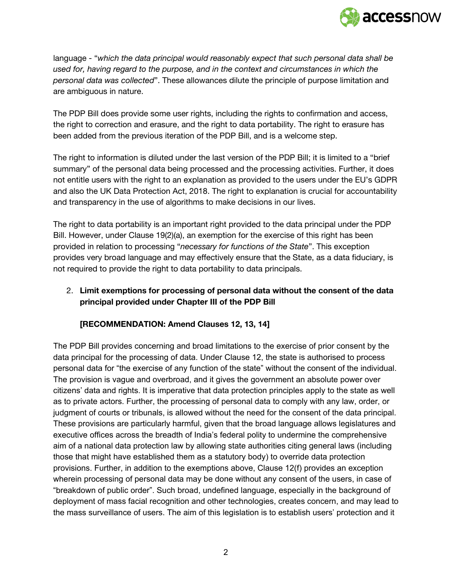

language - "*which the data principal would reasonably expect that such personal data shall be used for, having regard to the purpose, and in the context and circumstances in which the personal data was collected*". These allowances dilute the principle of purpose limitation and are ambiguous in nature.

The PDP Bill does provide some user rights, including the rights to confirmation and access, the right to correction and erasure, and the right to data portability. The right to erasure has been added from the previous iteration of the PDP Bill, and is a welcome step.

The right to information is diluted under the last version of the PDP Bill; it is limited to a "brief summary" of the personal data being processed and the processing activities. Further, it does not entitle users with the right to an explanation as provided to the users under the EU's GDPR and also the UK Data Protection Act, 2018. The right to explanation is crucial for accountability and transparency in the use of algorithms to make decisions in our lives.

The right to data portability is an important right provided to the data principal under the PDP Bill. However, under Clause 19(2)(a), an exemption for the exercise of this right has been provided in relation to processing "*necessary for functions of the State*". This exception provides very broad language and may effectively ensure that the State, as a data fiduciary, is not required to provide the right to data portability to data principals.

# 2. **Limit exemptions for processing of personal data without the consent of the data principal provided under Chapter III of the PDP Bill**

## **[RECOMMENDATION: Amend Clauses 12, 13, 14]**

The PDP Bill provides concerning and broad limitations to the exercise of prior consent by the data principal for the processing of data. Under Clause 12, the state is authorised to process personal data for "the exercise of any function of the state" without the consent of the individual. The provision is vague and overbroad, and it gives the government an absolute power over citizens' data and rights. It is imperative that data protection principles apply to the state as well as to private actors. Further, the processing of personal data to comply with any law, order, or judgment of courts or tribunals, is allowed without the need for the consent of the data principal. These provisions are particularly harmful, given that the broad language allows legislatures and executive offices across the breadth of India's federal polity to undermine the comprehensive aim of a national data protection law by allowing state authorities citing general laws (including those that might have established them as a statutory body) to override data protection provisions. Further, in addition to the exemptions above, Clause 12(f) provides an exception wherein processing of personal data may be done without any consent of the users, in case of "breakdown of public order". Such broad, undefined language, especially in the background of deployment of mass facial recognition and other technologies, creates concern, and may lead to the mass surveillance of users. The aim of this legislation is to establish users' protection and it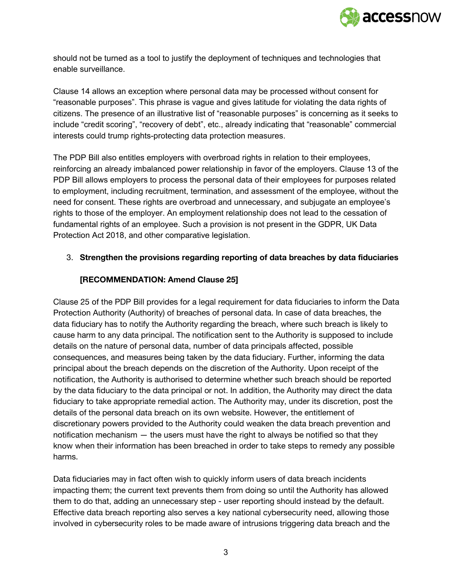

should not be turned as a tool to justify the deployment of techniques and technologies that enable surveillance.

Clause 14 allows an exception where personal data may be processed without consent for "reasonable purposes". This phrase is vague and gives latitude for violating the data rights of citizens. The presence of an illustrative list of "reasonable purposes" is concerning as it seeks to include "credit scoring", "recovery of debt", etc., already indicating that "reasonable" commercial interests could trump rights-protecting data protection measures.

The PDP Bill also entitles employers with overbroad rights in relation to their employees, reinforcing an already imbalanced power relationship in favor of the employers. Clause 13 of the PDP Bill allows employers to process the personal data of their employees for purposes related to employment, including recruitment, termination, and assessment of the employee, without the need for consent. These rights are overbroad and unnecessary, and subjugate an employee's rights to those of the employer. An employment relationship does not lead to the cessation of fundamental rights of an employee. Such a provision is not present in the GDPR, UK Data Protection Act 2018, and other comparative legislation.

## 3. **Strengthen the provisions regarding reporting of data breaches by data fiduciaries**

# **[RECOMMENDATION: Amend Clause 25]**

Clause 25 of the PDP Bill provides for a legal requirement for data fiduciaries to inform the Data Protection Authority (Authority) of breaches of personal data. In case of data breaches, the data fiduciary has to notify the Authority regarding the breach, where such breach is likely to cause harm to any data principal. The notification sent to the Authority is supposed to include details on the nature of personal data, number of data principals affected, possible consequences, and measures being taken by the data fiduciary. Further, informing the data principal about the breach depends on the discretion of the Authority. Upon receipt of the notification, the Authority is authorised to determine whether such breach should be reported by the data fiduciary to the data principal or not. In addition, the Authority may direct the data fiduciary to take appropriate remedial action. The Authority may, under its discretion, post the details of the personal data breach on its own website. However, the entitlement of discretionary powers provided to the Authority could weaken the data breach prevention and notification mechanism — the users must have the right to always be notified so that they know when their information has been breached in order to take steps to remedy any possible harms.

Data fiduciaries may in fact often wish to quickly inform users of data breach incidents impacting them; the current text prevents them from doing so until the Authority has allowed them to do that, adding an unnecessary step - user reporting should instead by the default. Effective data breach reporting also serves a key national cybersecurity need, allowing those involved in cybersecurity roles to be made aware of intrusions triggering data breach and the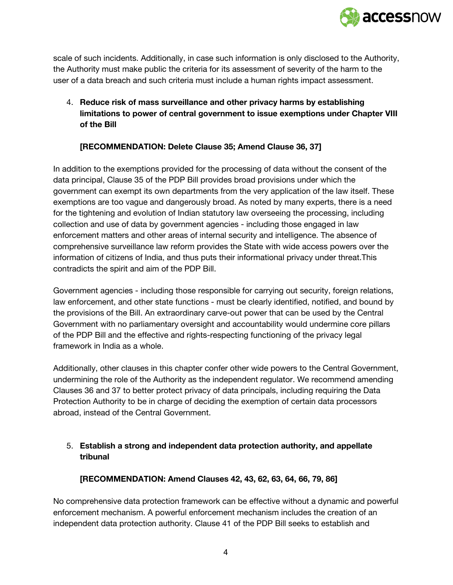

scale of such incidents. Additionally, in case such information is only disclosed to the Authority, the Authority must make public the criteria for its assessment of severity of the harm to the user of a data breach and such criteria must include a human rights impact assessment.

4. **Reduce risk of mass surveillance and other privacy harms by establishing limitations to power of central government to issue exemptions under Chapter VIII of the Bill**

## **[RECOMMENDATION: Delete Clause 35; Amend Clause 36, 37]**

In addition to the exemptions provided for the processing of data without the consent of the data principal, Clause 35 of the PDP Bill provides broad provisions under which the government can exempt its own departments from the very application of the law itself. These exemptions are too vague and dangerously broad. As noted by many experts, there is a need for the tightening and evolution of Indian statutory law overseeing the processing, including collection and use of data by government agencies - including those engaged in law enforcement matters and other areas of internal security and intelligence. The absence of comprehensive surveillance law reform provides the State with wide access powers over the information of citizens of India, and thus puts their informational privacy under threat.This contradicts the spirit and aim of the PDP Bill.

Government agencies - including those responsible for carrying out security, foreign relations, law enforcement, and other state functions - must be clearly identified, notified, and bound by the provisions of the Bill. An extraordinary carve-out power that can be used by the Central Government with no parliamentary oversight and accountability would undermine core pillars of the PDP Bill and the effective and rights-respecting functioning of the privacy legal framework in India as a whole.

Additionally, other clauses in this chapter confer other wide powers to the Central Government, undermining the role of the Authority as the independent regulator. We recommend amending Clauses 36 and 37 to better protect privacy of data principals, including requiring the Data Protection Authority to be in charge of deciding the exemption of certain data processors abroad, instead of the Central Government.

# 5. **Establish a strong and independent data protection authority, and appellate tribunal**

## **[RECOMMENDATION: Amend Clauses 42, 43, 62, 63, 64, 66, 79, 86]**

No comprehensive data protection framework can be effective without a dynamic and powerful enforcement mechanism. A powerful enforcement mechanism includes the creation of an independent data protection authority. Clause 41 of the PDP Bill seeks to establish and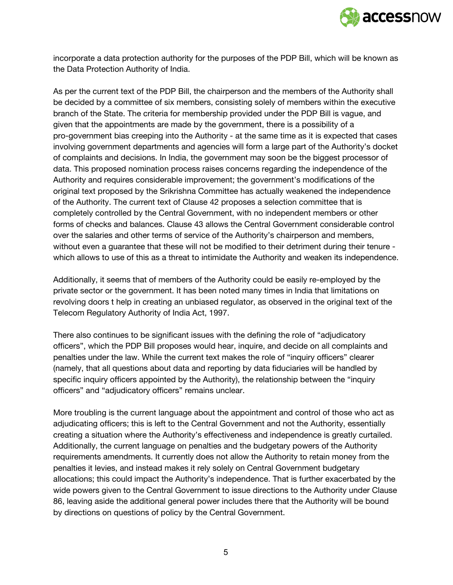

incorporate a data protection authority for the purposes of the PDP Bill, which will be known as the Data Protection Authority of India.

As per the current text of the PDP Bill, the chairperson and the members of the Authority shall be decided by a committee of six members, consisting solely of members within the executive branch of the State. The criteria for membership provided under the PDP Bill is vague, and given that the appointments are made by the government, there is a possibility of a pro-government bias creeping into the Authority - at the same time as it is expected that cases involving government departments and agencies will form a large part of the Authority's docket of complaints and decisions. In India, the government may soon be the biggest processor of data. This proposed nomination process raises concerns regarding the independence of the Authority and requires considerable improvement; the government's modifications of the original text proposed by the Srikrishna Committee has actually weakened the independence of the Authority. The current text of Clause 42 proposes a selection committee that is completely controlled by the Central Government, with no independent members or other forms of checks and balances. Clause 43 allows the Central Government considerable control over the salaries and other terms of service of the Authority's chairperson and members, without even a guarantee that these will not be modified to their detriment during their tenure which allows to use of this as a threat to intimidate the Authority and weaken its independence.

Additionally, it seems that of members of the Authority could be easily re-employed by the private sector or the government. It has been noted many times in India that limitations on revolving doors t help in creating an unbiased regulator, as observed in the original text of the Telecom Regulatory Authority of India Act, 1997.

There also continues to be significant issues with the defining the role of "adjudicatory officers", which the PDP Bill proposes would hear, inquire, and decide on all complaints and penalties under the law. While the current text makes the role of "inquiry officers" clearer (namely, that all questions about data and reporting by data fiduciaries will be handled by specific inquiry officers appointed by the Authority), the relationship between the "inquiry officers" and "adjudicatory officers" remains unclear.

More troubling is the current language about the appointment and control of those who act as adjudicating officers; this is left to the Central Government and not the Authority, essentially creating a situation where the Authority's effectiveness and independence is greatly curtailed. Additionally, the current language on penalties and the budgetary powers of the Authority requirements amendments. It currently does not allow the Authority to retain money from the penalties it levies, and instead makes it rely solely on Central Government budgetary allocations; this could impact the Authority's independence. That is further exacerbated by the wide powers given to the Central Government to issue directions to the Authority under Clause 86, leaving aside the additional general power includes there that the Authority will be bound by directions on questions of policy by the Central Government.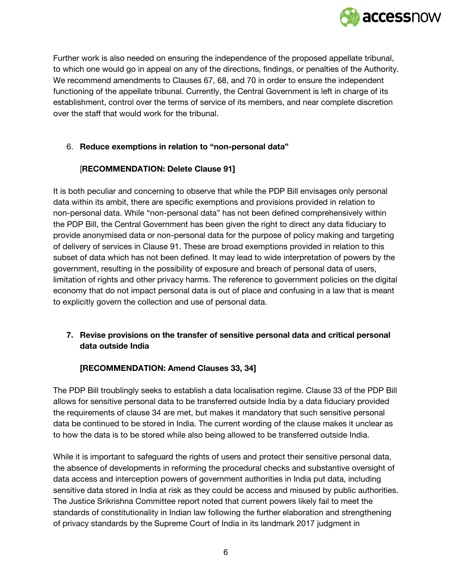

Further work is also needed on ensuring the independence of the proposed appellate tribunal, to which one would go in appeal on any of the directions, findings, or penalties of the Authority. We recommend amendments to Clauses 67, 68, and 70 in order to ensure the independent functioning of the appellate tribunal. Currently, the Central Government is left in charge of its establishment, control over the terms of service of its members, and near complete discretion over the staff that would work for the tribunal.

### 6. **Reduce exemptions in relation to "non-personal data"**

## [**RECOMMENDATION: Delete Clause 91]**

It is both peculiar and concerning to observe that while the PDP Bill envisages only personal data within its ambit, there are specific exemptions and provisions provided in relation to non-personal data. While "non-personal data" has not been defined comprehensively within the PDP Bill, the Central Government has been given the right to direct any data fiduciary to provide anonymised data or non-personal data for the purpose of policy making and targeting of delivery of services in Clause 91. These are broad exemptions provided in relation to this subset of data which has not been defined. It may lead to wide interpretation of powers by the government, resulting in the possibility of exposure and breach of personal data of users, limitation of rights and other privacy harms. The reference to government policies on the digital economy that do not impact personal data is out of place and confusing in a law that is meant to explicitly govern the collection and use of personal data.

# **7. Revise provisions on the transfer of sensitive personal data and critical personal data outside India**

#### **[RECOMMENDATION: Amend Clauses 33, 34]**

The PDP Bill troublingly seeks to establish a data localisation regime. Clause 33 of the PDP Bill allows for sensitive personal data to be transferred outside India by a data fiduciary provided the requirements of clause 34 are met, but makes it mandatory that such sensitive personal data be continued to be stored in India. The current wording of the clause makes it unclear as to how the data is to be stored while also being allowed to be transferred outside India.

While it is important to safeguard the rights of users and protect their sensitive personal data, the absence of developments in reforming the procedural checks and substantive oversight of data access and interception powers of government authorities in India put data, including sensitive data stored in India at risk as they could be access and misused by public authorities. The Justice Srikrishna Committee report noted that current powers likely fail to meet the standards of constitutionality in Indian law following the further elaboration and strengthening of privacy standards by the Supreme Court of India in its landmark 2017 judgment in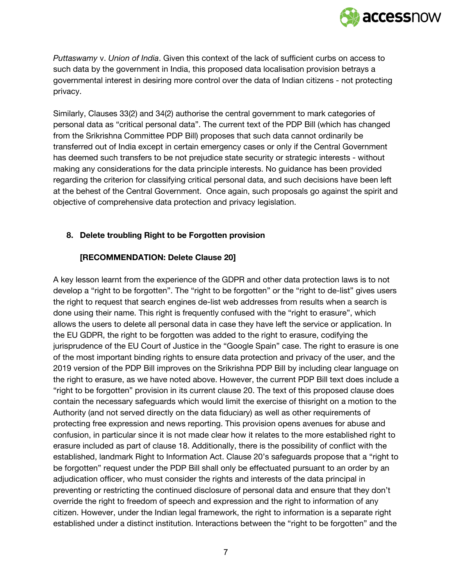

*Puttaswamy* v. *Union of India*. Given this context of the lack of sufficient curbs on access to such data by the government in India, this proposed data localisation provision betrays a governmental interest in desiring more control over the data of Indian citizens - not protecting privacy.

Similarly, Clauses 33(2) and 34(2) authorise the central government to mark categories of personal data as "critical personal data". The current text of the PDP Bill (which has changed from the Srikrishna Committee PDP Bill) proposes that such data cannot ordinarily be transferred out of India except in certain emergency cases or only if the Central Government has deemed such transfers to be not prejudice state security or strategic interests - without making any considerations for the data principle interests. No guidance has been provided regarding the criterion for classifying critical personal data, and such decisions have been left at the behest of the Central Government. Once again, such proposals go against the spirit and objective of comprehensive data protection and privacy legislation.

### **8. Delete troubling Right to be Forgotten provision**

### **[RECOMMENDATION: Delete Clause 20]**

A key lesson learnt from the experience of the GDPR and other data protection laws is to not develop a "right to be forgotten". The "right to be forgotten" or the "right to de-list" gives users the right to request that search engines de-list web addresses from results when a search is done using their name. This right is frequently confused with the "right to erasure", which allows the users to delete all personal data in case they have left the service or application. In the EU GDPR, the right to be forgotten was added to the right to erasure, codifying the jurisprudence of the EU Court of Justice in the "Google Spain" case. The right to erasure is one of the most important binding rights to ensure data protection and privacy of the user, and the 2019 version of the PDP Bill improves on the Srikrishna PDP Bill by including clear language on the right to erasure, as we have noted above. However, the current PDP Bill text does include a "right to be forgotten" provision in its current clause 20. The text of this proposed clause does contain the necessary safeguards which would limit the exercise of thisright on a motion to the Authority (and not served directly on the data fiduciary) as well as other requirements of protecting free expression and news reporting. This provision opens avenues for abuse and confusion, in particular since it is not made clear how it relates to the more established right to erasure included as part of clause 18. Additionally, there is the possibility of conflict with the established, landmark Right to Information Act. Clause 20's safeguards propose that a "right to be forgotten" request under the PDP Bill shall only be effectuated pursuant to an order by an adjudication officer, who must consider the rights and interests of the data principal in preventing or restricting the continued disclosure of personal data and ensure that they don't override the right to freedom of speech and expression and the right to information of any citizen. However, under the Indian legal framework, the right to information is a separate right established under a distinct institution. Interactions between the "right to be forgotten" and the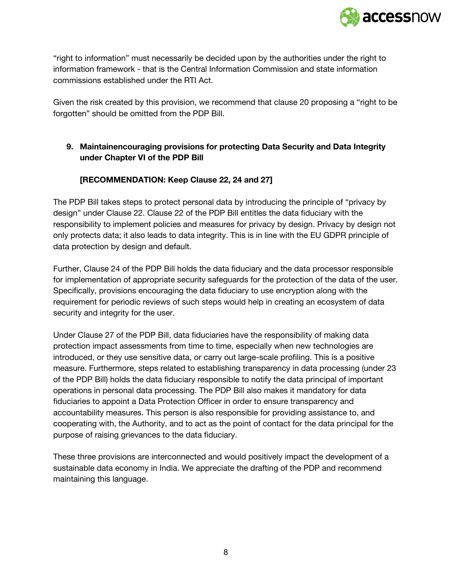

"right to information" must necessarily be decided upon by the authorities under the right to information framework - that is the Central Information Commission and state information commissions established under the RTI Act.

Given the risk created by this provision, we recommend that clause 20 proposing a "right to be forgotten" should be omitted from the PDP Bill.

# **9. Maintainencouraging provisions for protecting Data Security and Data Integrity under Chapter VI of the PDP Bill**

# **[RECOMMENDATION: Keep Clause 22, 24 and 27]**

The PDP Bill takes steps to protect personal data by introducing the principle of "privacy by design" under Clause 22. Clause 22 of the PDP Bill entitles the data fiduciary with the responsibility to implement policies and measures for privacy by design. Privacy by design not only protects data; it also leads to data integrity. This is in line with the EU GDPR principle of data protection by design and default.

Further, Clause 24 of the PDP Bill holds the data fiduciary and the data processor responsible for implementation of appropriate security safeguards for the protection of the data of the user. Specifically, provisions encouraging the data fiduciary to use encryption along with the requirement for periodic reviews of such steps would help in creating an ecosystem of data security and integrity for the user.

Under Clause 27 of the PDP Bill, data fiduciaries have the responsibility of making data protection impact assessments from time to time, especially when new technologies are introduced, or they use sensitive data, or carry out large-scale profiling. This is a positive measure. Furthermore, steps related to establishing transparency in data processing (under 23 of the PDP Bill) holds the data fiduciary responsible to notify the data principal of important operations in personal data processing. The PDP Bill also makes it mandatory for data fiduciaries to appoint a Data Protection Officer in order to ensure transparency and accountability measures. This person is also responsible for providing assistance to, and cooperating with, the Authority, and to act as the point of contact for the data principal for the purpose of raising grievances to the data fiduciary.

These three provisions are interconnected and would positively impact the development of a sustainable data economy in India. We appreciate the drafting of the PDP and recommend maintaining this language.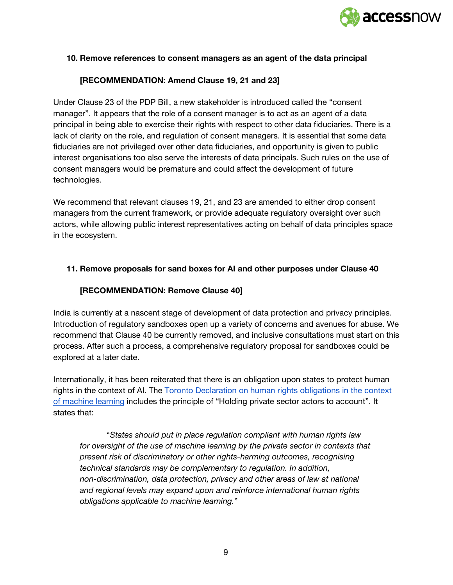

#### **10. Remove references to consent managers as an agent of the data principal**

#### **[RECOMMENDATION: Amend Clause 19, 21 and 23]**

Under Clause 23 of the PDP Bill, a new stakeholder is introduced called the "consent manager". It appears that the role of a consent manager is to act as an agent of a data principal in being able to exercise their rights with respect to other data fiduciaries. There is a lack of clarity on the role, and regulation of consent managers. It is essential that some data fiduciaries are not privileged over other data fiduciaries, and opportunity is given to public interest organisations too also serve the interests of data principals. Such rules on the use of consent managers would be premature and could affect the development of future technologies.

We recommend that relevant clauses 19, 21, and 23 are amended to either drop consent managers from the current framework, or provide adequate regulatory oversight over such actors, while allowing public interest representatives acting on behalf of data principles space in the ecosystem.

#### **11. Remove proposals for sand boxes for AI and other purposes under Clause 40**

#### **[RECOMMENDATION: Remove Clause 40]**

India is currently at a nascent stage of development of data protection and privacy principles. Introduction of regulatory sandboxes open up a variety of concerns and avenues for abuse. We recommend that Clause 40 be currently removed, and inclusive consultations must start on this process. After such a process, a comprehensive regulatory proposal for sandboxes could be explored at a later date.

Internationally, it has been reiterated that there is an obligation upon states to protect human rights in the context of AI. The Toronto [Declaration](https://www.accessnow.org/cms/assets/uploads/2018/08/The-Toronto-Declaration_ENG_08-2018.pdf) on human rights obligations in the context of [machine](https://www.accessnow.org/cms/assets/uploads/2018/08/The-Toronto-Declaration_ENG_08-2018.pdf) learning includes the principle of "Holding private sector actors to account". It states that:

"*States should put in place regulation compliant with human rights law for oversight of the use of machine learning by the private sector in contexts that present risk of discriminatory or other rights-harming outcomes, recognising technical standards may be complementary to regulation. In addition, non-discrimination, data protection, privacy and other areas of law at national and regional levels may expand upon and reinforce international human rights obligations applicable to machine learning.*"